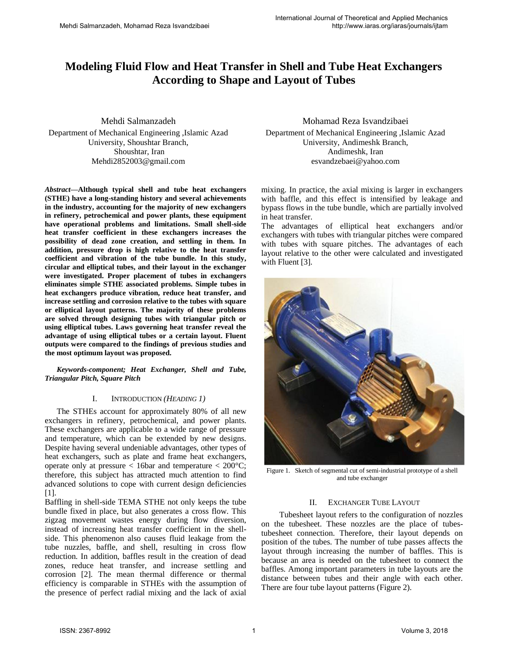# **Modeling Fluid Flow and Heat Transfer in Shell and Tube Heat Exchangers According to Shape and Layout of Tubes**

Mehdi Salmanzadeh Department of Mechanical Engineering ,Islamic Azad University, Shoushtar Branch, Shoushtar, Iran Mehdi2852003@gmail.com

*Abstract***—Although typical shell and tube heat exchangers (STHE) have a long-standing history and several achievements in the industry, accounting for the majority of new exchangers in refinery, petrochemical and power plants, these equipment have operational problems and limitations. Small shell-side heat transfer coefficient in these exchangers increases the possibility of dead zone creation, and settling in them. In addition, pressure drop is high relative to the heat transfer coefficient and vibration of the tube bundle. In this study, circular and elliptical tubes, and their layout in the exchanger were investigated. Proper placement of tubes in exchangers eliminates simple STHE associated problems. Simple tubes in heat exchangers produce vibration, reduce heat transfer, and increase settling and corrosion relative to the tubes with square or elliptical layout patterns. The majority of these problems are solved through designing tubes with triangular pitch or using elliptical tubes. Laws governing heat transfer reveal the advantage of using elliptical tubes or a certain layout. Fluent outputs were compared to the findings of previous studies and the most optimum layout was proposed.** 

#### *Keywords-component; Heat Exchanger, Shell and Tube, Triangular Pitch, Square Pitch*

#### I. INTRODUCTION *(HEADING 1)*

The STHEs account for approximately 80% of all new exchangers in refinery, petrochemical, and power plants. These exchangers are applicable to a wide range of pressure and temperature, which can be extended by new designs. Despite having several undeniable advantages, other types of heat exchangers, such as plate and frame heat exchangers, operate only at pressure < 16bar and temperature < 200°C; therefore, this subject has attracted much attention to find advanced solutions to cope with current design deficiencies [1].

Baffling in shell-side TEMA STHE not only keeps the tube bundle fixed in place, but also generates a cross flow. This zigzag movement wastes energy during flow diversion, instead of increasing heat transfer coefficient in the shellside. This phenomenon also causes fluid leakage from the tube nuzzles, baffle, and shell, resulting in cross flow reduction. In addition, baffles result in the creation of dead zones, reduce heat transfer, and increase settling and corrosion [2]. The mean thermal difference or thermal efficiency is comparable in STHEs with the assumption of the presence of perfect radial mixing and the lack of axial

Mohamad Reza Isvandzibaei Department of Mechanical Engineering ,Islamic Azad University, Andimeshk Branch, Andimeshk, Iran esvandzebaei@yahoo.com

mixing. In practice, the axial mixing is larger in exchangers with baffle, and this effect is intensified by leakage and bypass flows in the tube bundle, which are partially involved in heat transfer.

The advantages of elliptical heat exchangers and/or exchangers with tubes with triangular pitches were compared with tubes with square pitches. The advantages of each layout relative to the other were calculated and investigated with Fluent [3].



Figure 1. Sketch of segmental cut of semi-industrial prototype of a shell and tube exchanger

### II. EXCHANGER TUBE LAYOUT

 Tubesheet layout refers to the configuration of nozzles on the tubesheet. These nozzles are the place of tubestubesheet connection. Therefore, their layout depends on position of the tubes. The number of tube passes affects the layout through increasing the number of baffles. This is because an area is needed on the tubesheet to connect the baffles. Among important parameters in tube layouts are the distance between tubes and their angle with each other. There are four tube layout patterns (Figure 2).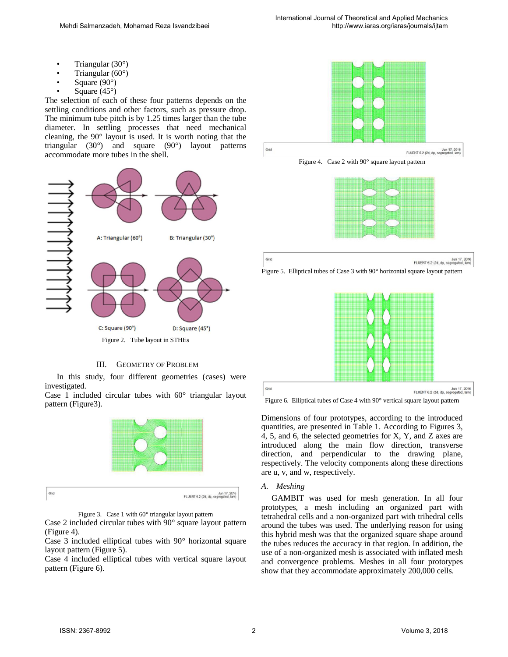- Triangular (30°)
- Triangular  $(60^{\circ})$
- Square (90°)
- Square  $(45^{\circ})$

The selection of each of these four patterns depends on the settling conditions and other factors, such as pressure drop. The minimum tube pitch is by 1.25 times larger than the tube diameter. In settling processes that need mechanical cleaning, the 90° layout is used. It is worth noting that the triangular (30°) and square (90°) layout patterns accommodate more tubes in the shell.



## III. GEOMETRY OF PROBLEM

In this study, four different geometries (cases) were investigated.

Case 1 included circular tubes with  $60^\circ$  triangular layout pattern (Figure3).



Figure 3. Case 1 with 60° triangular layout pattern

Case 2 included circular tubes with 90° square layout pattern (Figure 4).

Case 3 included elliptical tubes with 90° horizontal square layout pattern (Figure 5).

Case 4 included elliptical tubes with vertical square layout pattern (Figure 6).





Grid

Grid

Jun 17, 2016<br>FLUENT 6.2 (2d, dp, segregated, lam)





Figure 6. Elliptical tubes of Case 4 with 90° vertical square layout pattern

Dimensions of four prototypes, according to the introduced quantities, are presented in Table 1. According to Figures 3, 4, 5, and 6, the selected geometries for X, Y, and Z axes are introduced along the main flow direction, transverse direction, and perpendicular to the drawing plane, respectively. The velocity components along these directions are u, v, and w, respectively.

## *A. Meshing*

 GAMBIT was used for mesh generation. In all four prototypes, a mesh including an organized part with tetrahedral cells and a non-organized part with trihedral cells around the tubes was used. The underlying reason for using this hybrid mesh was that the organized square shape around the tubes reduces the accuracy in that region. In addition, the use of a non-organized mesh is associated with inflated mesh and convergence problems. Meshes in all four prototypes show that they accommodate approximately 200,000 cells.

Grid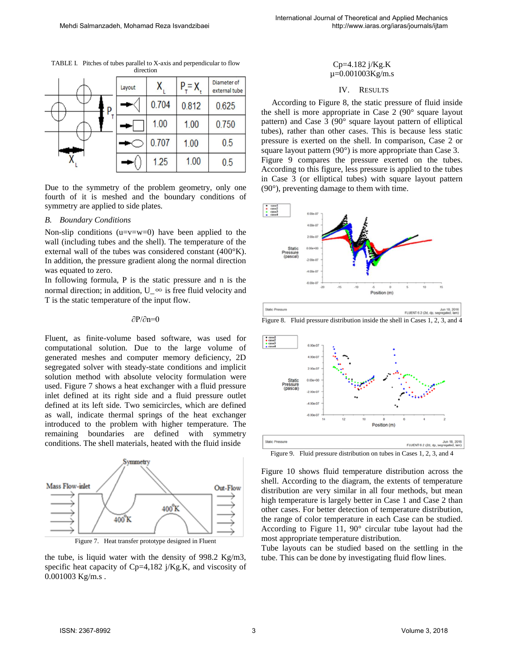| $\cdots\cdots$ |        |       |         |                              |
|----------------|--------|-------|---------|------------------------------|
|                | Layout |       | $P = X$ | Diameter of<br>external tube |
| p              |        | 0.704 | 0.812   | 0.625                        |
|                |        | 1.00  | 1.00    | 0.750                        |
|                |        | 0.707 | 1.00    | 0.5                          |
|                |        | 1.25  | 1.00    | 0.5                          |

TABLE I. Pitches of tubes parallel to X-axis and perpendicular to flow direction

Due to the symmetry of the problem geometry, only one fourth of it is meshed and the boundary conditions of symmetry are applied to side plates.

#### *B. Boundary Conditions*

Non-slip conditions ( $u=v=w=0$ ) have been applied to the wall (including tubes and the shell). The temperature of the external wall of the tubes was considered constant (400°K). In addition, the pressure gradient along the normal direction was equated to zero.

In following formula, P is the static pressure and n is the normal direction; in addition, U  $\infty$  is free fluid velocity and T is the static temperature of the input flow.

## ∂P/∂n=0

Fluent, as finite-volume based software, was used for computational solution. Due to the large volume of generated meshes and computer memory deficiency, 2D segregated solver with steady-state conditions and implicit solution method with absolute velocity formulation were used. Figure 7 shows a heat exchanger with a fluid pressure inlet defined at its right side and a fluid pressure outlet defined at its left side. Two semicircles, which are defined as wall, indicate thermal springs of the heat exchanger introduced to the problem with higher temperature. The remaining boundaries are defined with symmetry conditions. The shell materials, heated with the fluid inside





the tube, is liquid water with the density of 998.2 Kg/m3, specific heat capacity of Cp=4,182 j/Kg.K, and viscosity of 0.001003 Kg/m.s .

#### Cp=4.182 j/Kg.K  $\mu$ =0.001003Kg/m.s

#### IV. RESULTS

 According to Figure 8, the static pressure of fluid inside the shell is more appropriate in Case 2 (90° square layout pattern) and Case 3 (90° square layout pattern of elliptical tubes), rather than other cases. This is because less static pressure is exerted on the shell. In comparison, Case 2 or square layout pattern (90°) is more appropriate than Case 3. Figure 9 compares the pressure exerted on the tubes. According to this figure, less pressure is applied to the tubes in Case 3 (or elliptical tubes) with square layout pattern (90°), preventing damage to them with time.



FLUENT 6.2 (2d, dp, s)

Figure 8. Fluid pressure distribution inside the shell in Cases 1, 2, 3, and 4



Figure 9. Fluid pressure distribution on tubes in Cases 1, 2, 3, and 4

Figure 10 shows fluid temperature distribution across the shell. According to the diagram, the extents of temperature distribution are very similar in all four methods, but mean high temperature is largely better in Case 1 and Case 2 than other cases. For better detection of temperature distribution, the range of color temperature in each Case can be studied. According to Figure 11, 90° circular tube layout had the most appropriate temperature distribution.

Tube layouts can be studied based on the settling in the tube. This can be done by investigating fluid flow lines.